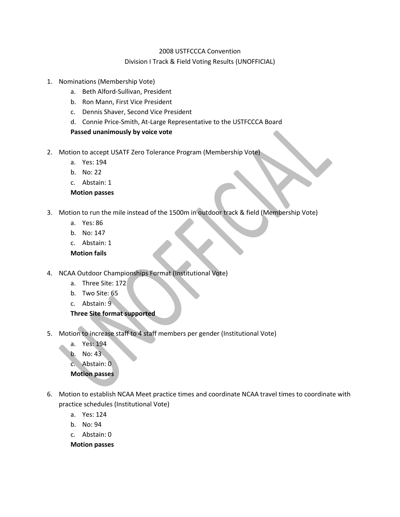## 2008 USTFCCCA Convention Division I Track & Field Voting Results (UNOFFICIAL)

- 1. Nominations (Membership Vote)
	- a. Beth Alford-Sullivan, President
	- b. Ron Mann, First Vice President
	- c. Dennis Shaver, Second Vice President
	- d. Connie Price-Smith, At-Large Representative to the USTFCCCA Board

## **Passed unanimously by voice vote**

- 2. Motion to accept USATF Zero Tolerance Program (Membership Vote)
	- a. Yes: 194
	- b. No: 22
	- c. Abstain: 1
	- **Motion passes**
- 3. Motion to run the mile instead of the 1500m in outdoor track & field (Membership Vote)
	- a. Yes: 86
	- b. No: 147
	- c. Abstain: 1

**Motion fails**

- 4. NCAA Outdoor Championships Format (Institutional Vote)
	- a. Three Site: 172
	- b. Two Site: 65
	- c. Abstain: 9

## **Three Site format supported**

- 5. Motion to increase staff to 4 staff members per gender (Institutional Vote)
	- a. Yes: 194
	- b. No: 43
	- c. Abstain: 0

## **Motion passes**

- 6. Motion to establish NCAA Meet practice times and coordinate NCAA travel times to coordinate with practice schedules (Institutional Vote)
	- a. Yes: 124
	- b. No: 94
	- c. Abstain: 0

**Motion passes**